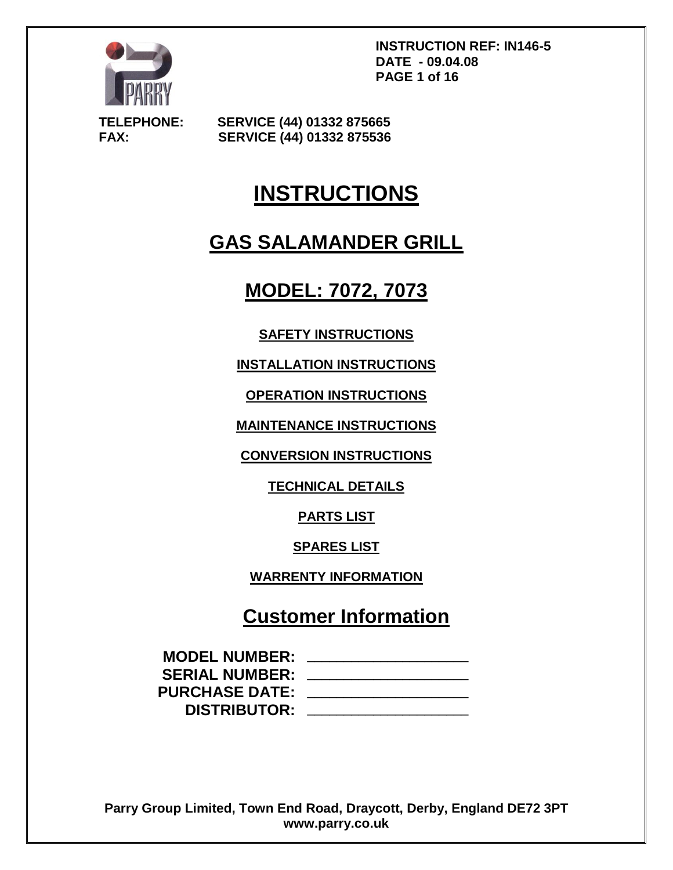

**INSTRUCTION REF: IN146-5 DATE - 09.04.08 PAGE 1 of 16**

**TELEPHONE: SERVICE (44) 01332 875665 FAX: SERVICE (44) 01332 875536**

# **INSTRUCTIONS**

# **GAS SALAMANDER GRILL**

# **MODEL: 7072, 7073**

# **SAFETY INSTRUCTIONS**

**INSTALLATION INSTRUCTIONS**

**OPERATION INSTRUCTIONS**

**MAINTENANCE INSTRUCTIONS**

**CONVERSION INSTRUCTIONS**

**TECHNICAL DETAILS**

**PARTS LIST**

**SPARES LIST**

**WARRENTY INFORMATION**

# **Customer Information**

| <b>MODEL NUMBER:</b>  |  |
|-----------------------|--|
| <b>SERIAL NUMBER:</b> |  |
| <b>PURCHASE DATE:</b> |  |
| <b>DISTRIBUTOR:</b>   |  |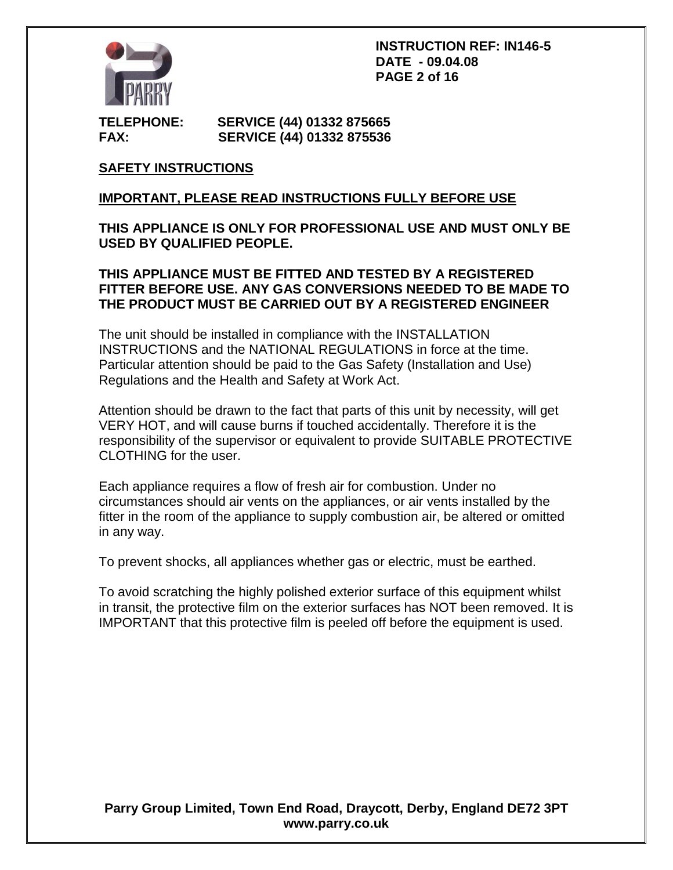

**INSTRUCTION REF: IN146-5 DATE - 09.04.08 PAGE 2 of 16**

**TELEPHONE: SERVICE (44) 01332 875665 FAX: SERVICE (44) 01332 875536**

# **SAFETY INSTRUCTIONS**

# **IMPORTANT, PLEASE READ INSTRUCTIONS FULLY BEFORE USE**

### **THIS APPLIANCE IS ONLY FOR PROFESSIONAL USE AND MUST ONLY BE USED BY QUALIFIED PEOPLE.**

### **THIS APPLIANCE MUST BE FITTED AND TESTED BY A REGISTERED FITTER BEFORE USE. ANY GAS CONVERSIONS NEEDED TO BE MADE TO THE PRODUCT MUST BE CARRIED OUT BY A REGISTERED ENGINEER**

The unit should be installed in compliance with the INSTALLATION INSTRUCTIONS and the NATIONAL REGULATIONS in force at the time. Particular attention should be paid to the Gas Safety (Installation and Use) Regulations and the Health and Safety at Work Act.

Attention should be drawn to the fact that parts of this unit by necessity, will get VERY HOT, and will cause burns if touched accidentally. Therefore it is the responsibility of the supervisor or equivalent to provide SUITABLE PROTECTIVE CLOTHING for the user.

Each appliance requires a flow of fresh air for combustion. Under no circumstances should air vents on the appliances, or air vents installed by the fitter in the room of the appliance to supply combustion air, be altered or omitted in any way.

To prevent shocks, all appliances whether gas or electric, must be earthed.

To avoid scratching the highly polished exterior surface of this equipment whilst in transit, the protective film on the exterior surfaces has NOT been removed. It is IMPORTANT that this protective film is peeled off before the equipment is used.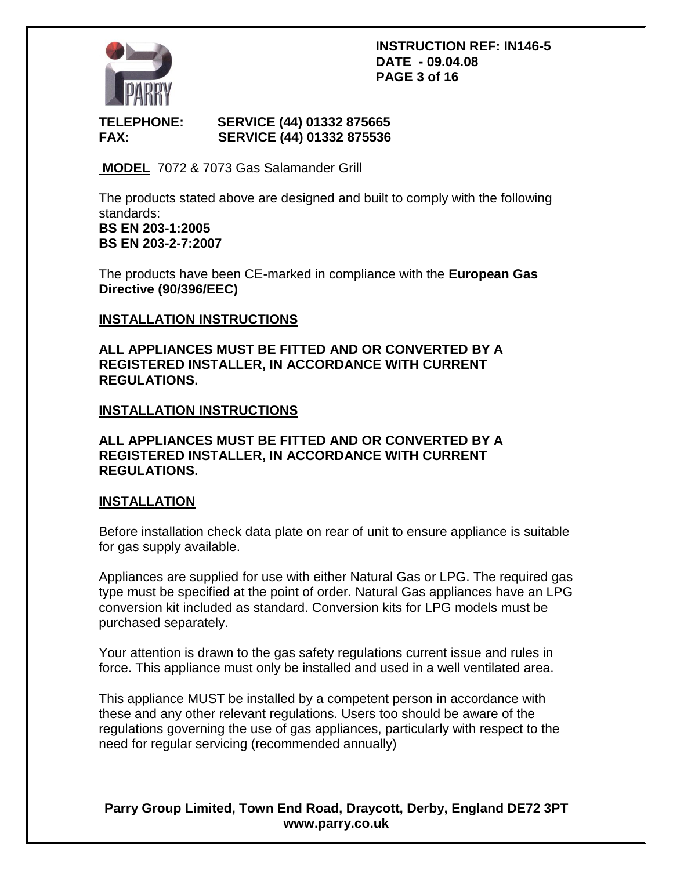

#### **INSTRUCTION REF: IN146-5 DATE - 09.04.08 PAGE 3 of 16**

# **TELEPHONE: SERVICE (44) 01332 875665 FAX: SERVICE (44) 01332 875536**

**MODEL** 7072 & 7073 Gas Salamander Grill

The products stated above are designed and built to comply with the following standards:

**BS EN 203-1:2005 BS EN 203-2-7:2007**

The products have been CE-marked in compliance with the **European Gas Directive (90/396/EEC)**

# **INSTALLATION INSTRUCTIONS**

**ALL APPLIANCES MUST BE FITTED AND OR CONVERTED BY A REGISTERED INSTALLER, IN ACCORDANCE WITH CURRENT REGULATIONS.**

# **INSTALLATION INSTRUCTIONS**

**ALL APPLIANCES MUST BE FITTED AND OR CONVERTED BY A REGISTERED INSTALLER, IN ACCORDANCE WITH CURRENT REGULATIONS.**

### **INSTALLATION**

Before installation check data plate on rear of unit to ensure appliance is suitable for gas supply available.

Appliances are supplied for use with either Natural Gas or LPG. The required gas type must be specified at the point of order. Natural Gas appliances have an LPG conversion kit included as standard. Conversion kits for LPG models must be purchased separately.

Your attention is drawn to the gas safety regulations current issue and rules in force. This appliance must only be installed and used in a well ventilated area.

This appliance MUST be installed by a competent person in accordance with these and any other relevant regulations. Users too should be aware of the regulations governing the use of gas appliances, particularly with respect to the need for regular servicing (recommended annually)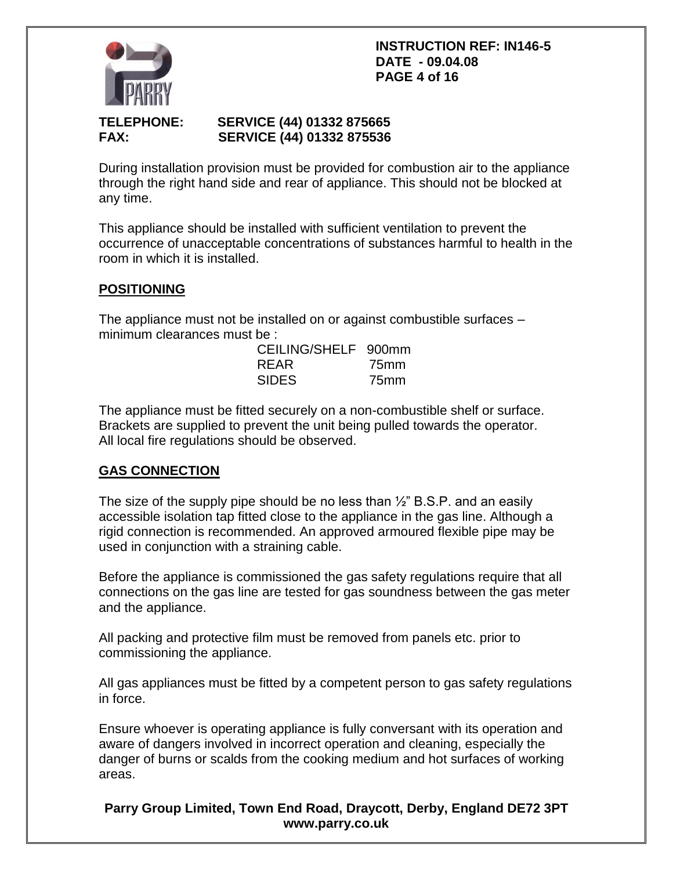#### **INSTRUCTION REF: IN146-5 DATE - 09.04.08 PAGE 4 of 16**



# **TELEPHONE: SERVICE (44) 01332 875665 FAX: SERVICE (44) 01332 875536**

During installation provision must be provided for combustion air to the appliance through the right hand side and rear of appliance. This should not be blocked at any time.

This appliance should be installed with sufficient ventilation to prevent the occurrence of unacceptable concentrations of substances harmful to health in the room in which it is installed.

# **POSITIONING**

The appliance must not be installed on or against combustible surfaces – minimum clearances must be :

| CEILING/SHELF 900mm |      |
|---------------------|------|
| <b>RFAR</b>         | 75mm |
| <b>SIDES</b>        | 75mm |

The appliance must be fitted securely on a non-combustible shelf or surface. Brackets are supplied to prevent the unit being pulled towards the operator. All local fire regulations should be observed.

# **GAS CONNECTION**

The size of the supply pipe should be no less than  $\frac{1}{2}$ " B.S.P. and an easily accessible isolation tap fitted close to the appliance in the gas line. Although a rigid connection is recommended. An approved armoured flexible pipe may be used in conjunction with a straining cable.

Before the appliance is commissioned the gas safety regulations require that all connections on the gas line are tested for gas soundness between the gas meter and the appliance.

All packing and protective film must be removed from panels etc. prior to commissioning the appliance.

All gas appliances must be fitted by a competent person to gas safety regulations in force.

Ensure whoever is operating appliance is fully conversant with its operation and aware of dangers involved in incorrect operation and cleaning, especially the danger of burns or scalds from the cooking medium and hot surfaces of working areas.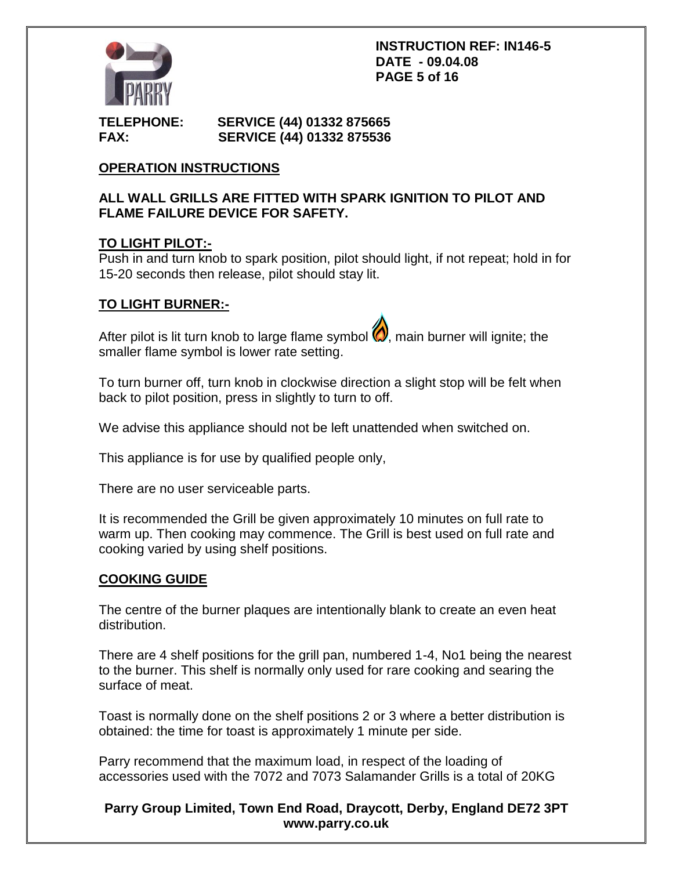

#### **TELEPHONE: SERVICE (44) 01332 875665 FAX: SERVICE (44) 01332 875536**

# **OPERATION INSTRUCTIONS**

# **ALL WALL GRILLS ARE FITTED WITH SPARK IGNITION TO PILOT AND FLAME FAILURE DEVICE FOR SAFETY.**

# **TO LIGHT PILOT:-**

Push in and turn knob to spark position, pilot should light, if not repeat; hold in for 15-20 seconds then release, pilot should stay lit.

# **TO LIGHT BURNER:-**

After pilot is lit turn knob to large flame symbol  $\bigcirc$ , main burner will ignite; the smaller flame symbol is lower rate setting.

To turn burner off, turn knob in clockwise direction a slight stop will be felt when back to pilot position, press in slightly to turn to off.

We advise this appliance should not be left unattended when switched on.

This appliance is for use by qualified people only,

There are no user serviceable parts.

It is recommended the Grill be given approximately 10 minutes on full rate to warm up. Then cooking may commence. The Grill is best used on full rate and cooking varied by using shelf positions.

### **COOKING GUIDE**

The centre of the burner plaques are intentionally blank to create an even heat distribution.

There are 4 shelf positions for the grill pan, numbered 1-4, No1 being the nearest to the burner. This shelf is normally only used for rare cooking and searing the surface of meat.

Toast is normally done on the shelf positions 2 or 3 where a better distribution is obtained: the time for toast is approximately 1 minute per side.

Parry recommend that the maximum load, in respect of the loading of accessories used with the 7072 and 7073 Salamander Grills is a total of 20KG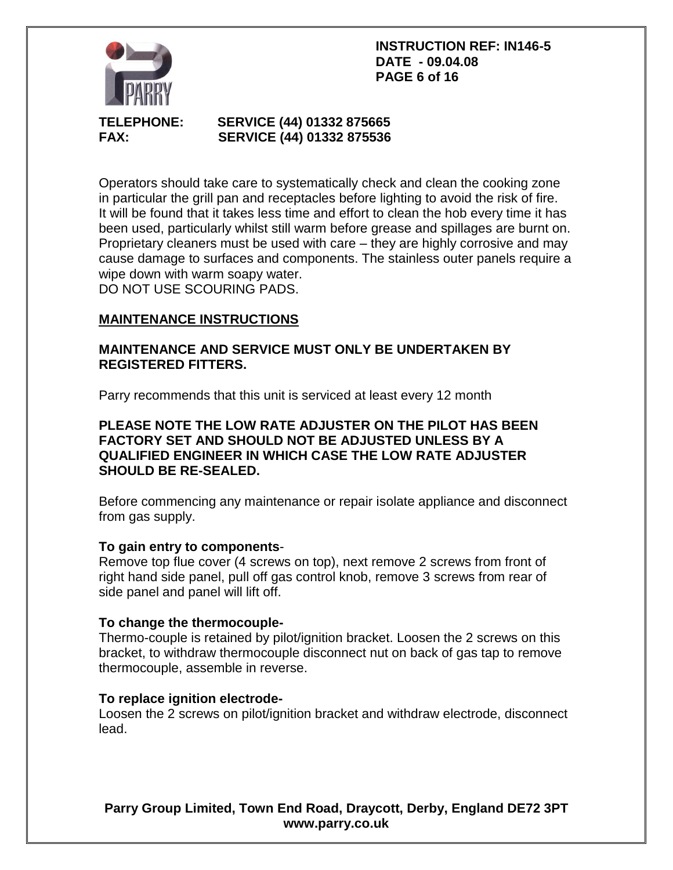**INSTRUCTION REF: IN146-5 DATE - 09.04.08 PAGE 6 of 16**



# **TELEPHONE: SERVICE (44) 01332 875665 FAX: SERVICE (44) 01332 875536**

Operators should take care to systematically check and clean the cooking zone in particular the grill pan and receptacles before lighting to avoid the risk of fire. It will be found that it takes less time and effort to clean the hob every time it has been used, particularly whilst still warm before grease and spillages are burnt on. Proprietary cleaners must be used with care – they are highly corrosive and may cause damage to surfaces and components. The stainless outer panels require a wipe down with warm soapy water. DO NOT USE SCOURING PADS.

# **MAINTENANCE INSTRUCTIONS**

# **MAINTENANCE AND SERVICE MUST ONLY BE UNDERTAKEN BY REGISTERED FITTERS.**

Parry recommends that this unit is serviced at least every 12 month

# **PLEASE NOTE THE LOW RATE ADJUSTER ON THE PILOT HAS BEEN FACTORY SET AND SHOULD NOT BE ADJUSTED UNLESS BY A QUALIFIED ENGINEER IN WHICH CASE THE LOW RATE ADJUSTER SHOULD BE RE-SEALED.**

Before commencing any maintenance or repair isolate appliance and disconnect from gas supply.

# **To gain entry to components**-

Remove top flue cover (4 screws on top), next remove 2 screws from front of right hand side panel, pull off gas control knob, remove 3 screws from rear of side panel and panel will lift off.

# **To change the thermocouple-**

Thermo-couple is retained by pilot/ignition bracket. Loosen the 2 screws on this bracket, to withdraw thermocouple disconnect nut on back of gas tap to remove thermocouple, assemble in reverse.

### **To replace ignition electrode-**

Loosen the 2 screws on pilot/ignition bracket and withdraw electrode, disconnect lead.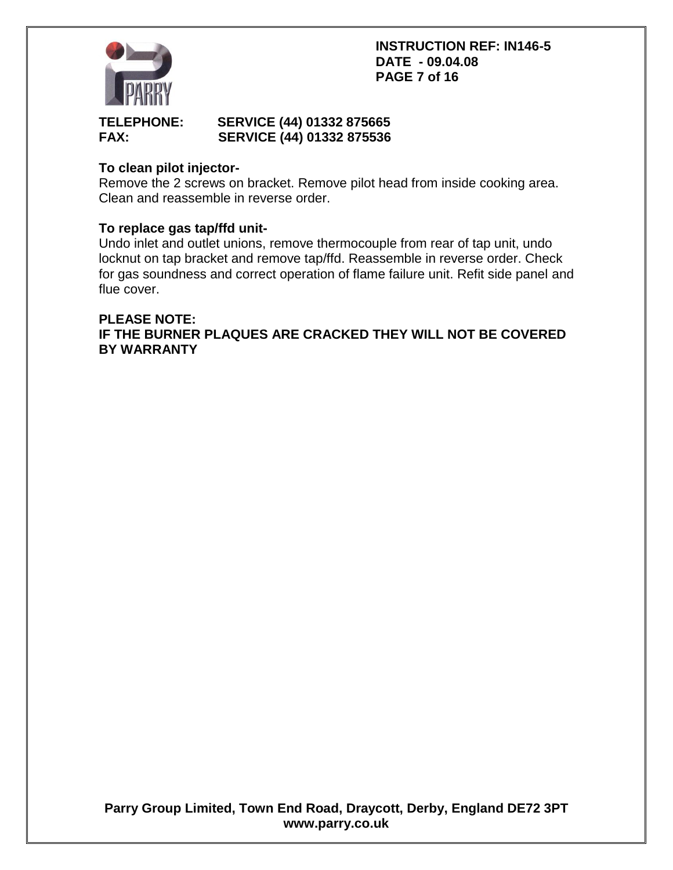**INSTRUCTION REF: IN146-5 DATE - 09.04.08 PAGE 7 of 16**



# **TELEPHONE: SERVICE (44) 01332 875665 FAX: SERVICE (44) 01332 875536**

# **To clean pilot injector-**

Remove the 2 screws on bracket. Remove pilot head from inside cooking area. Clean and reassemble in reverse order.

# **To replace gas tap/ffd unit-**

Undo inlet and outlet unions, remove thermocouple from rear of tap unit, undo locknut on tap bracket and remove tap/ffd. Reassemble in reverse order. Check for gas soundness and correct operation of flame failure unit. Refit side panel and flue cover.

# **PLEASE NOTE: IF THE BURNER PLAQUES ARE CRACKED THEY WILL NOT BE COVERED BY WARRANTY**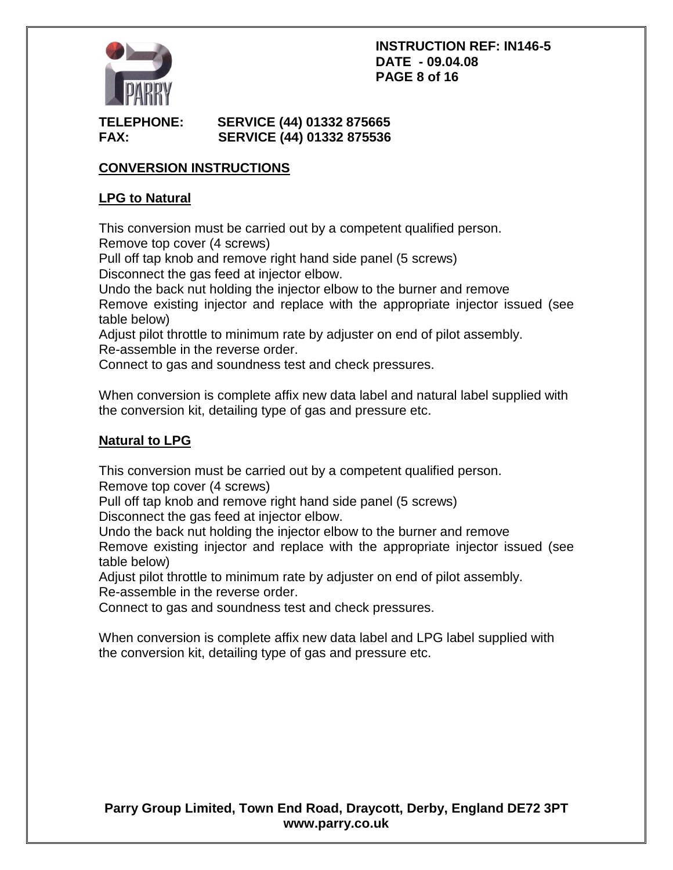### **INSTRUCTION REF: IN146-5 DATE - 09.04.08 PAGE 8 of 16**



# **TELEPHONE: SERVICE (44) 01332 875665 FAX: SERVICE (44) 01332 875536**

# **CONVERSION INSTRUCTIONS**

# **LPG to Natural**

This conversion must be carried out by a competent qualified person. Remove top cover (4 screws)

Pull off tap knob and remove right hand side panel (5 screws) Disconnect the gas feed at injector elbow.

Undo the back nut holding the injector elbow to the burner and remove

Remove existing injector and replace with the appropriate injector issued (see table below)

Adjust pilot throttle to minimum rate by adjuster on end of pilot assembly.

Re-assemble in the reverse order.

Connect to gas and soundness test and check pressures.

When conversion is complete affix new data label and natural label supplied with the conversion kit, detailing type of gas and pressure etc.

# **Natural to LPG**

This conversion must be carried out by a competent qualified person. Remove top cover (4 screws)

Pull off tap knob and remove right hand side panel (5 screws)

Disconnect the gas feed at injector elbow.

Undo the back nut holding the injector elbow to the burner and remove

Remove existing injector and replace with the appropriate injector issued (see table below)

Adjust pilot throttle to minimum rate by adjuster on end of pilot assembly. Re-assemble in the reverse order.

Connect to gas and soundness test and check pressures.

When conversion is complete affix new data label and LPG label supplied with the conversion kit, detailing type of gas and pressure etc.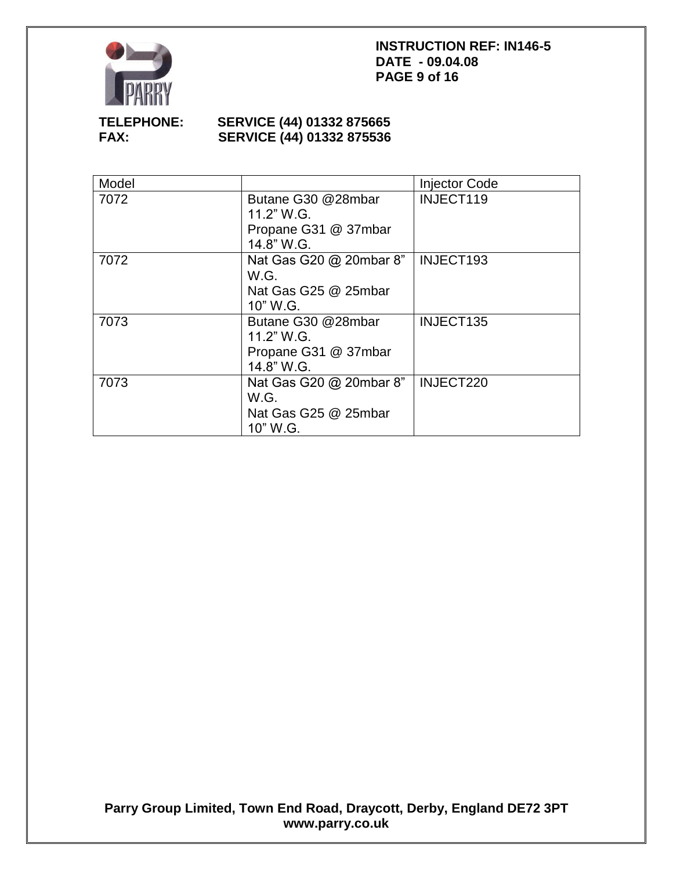

## **INSTRUCTION REF: IN146-5 DATE - 09.04.08 PAGE 9 of 16**

# **TELEPHONE: SERVICE (44) 01332 875665 SERVICE (44) 01332 875536**

| Model |                                                                        | <b>Injector Code</b> |
|-------|------------------------------------------------------------------------|----------------------|
| 7072  | Butane G30 @28mbar<br>11.2" W.G.<br>Propane G31 @ 37mbar<br>14.8" W.G. | INJECT119            |
| 7072  | Nat Gas G20 @ 20mbar 8"<br>W.G.<br>Nat Gas G25 @ 25mbar<br>10" W.G.    | INJECT193            |
| 7073  | Butane G30 @28mbar<br>11.2" W.G.<br>Propane G31 @ 37mbar<br>14.8" W.G. | INJECT135            |
| 7073  | Nat Gas G20 @ 20mbar 8"<br>W.G.<br>Nat Gas G25 @ 25mbar<br>10" W.G.    | INJECT220            |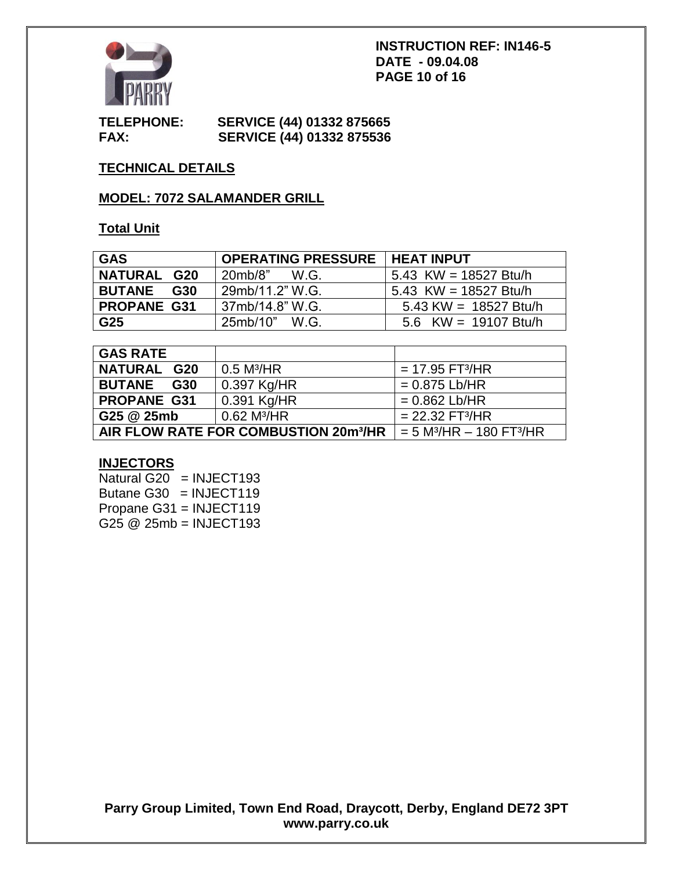

#### **TELEPHONE: SERVICE (44) 01332 875665 FAX: SERVICE (44) 01332 875536**

# **TECHNICAL DETAILS**

# **MODEL: 7072 SALAMANDER GRILL**

# **Total Unit**

| <b>GAS</b>         | <b>OPERATING PRESSURE   HEAT INPUT</b> |                         |
|--------------------|----------------------------------------|-------------------------|
| <b>NATURAL G20</b> | 20mb/8"<br>W.G.                        | 5.43 KW = 18527 Btu/h   |
| <b>BUTANE G30</b>  | 29mb/11.2" W.G.                        | 5.43 KW = 18527 Btu/h   |
| <b>PROPANE G31</b> | 37mb/14.8" W.G.                        | 5.43 KW = $18527$ Btu/h |
| G25                | 25mb/10" W.G.                          | 5.6 KW = $19107$ Btu/h  |

| <b>GAS RATE</b>                                   |                           |                                                      |
|---------------------------------------------------|---------------------------|------------------------------------------------------|
| <b>NATURAL G20</b>                                | $0.5$ M <sup>3</sup> /HR  | $= 17.95$ FT <sup>3</sup> /HR                        |
| <b>BUTANE</b><br>G30                              | 0.397 Kg/HR               | $= 0.875$ Lb/HR                                      |
| <b>PROPANE G31</b>                                | 0.391 Kg/HR               | $= 0.862$ Lb/HR                                      |
| G25 @ 25mb                                        | $0.62$ M <sup>3</sup> /HR | $= 22.32$ FT <sup>3</sup> /HR                        |
| AIR FLOW RATE FOR COMBUSTION 20m <sup>3</sup> /HR |                           | $= 5$ M <sup>3</sup> /HR $-$ 180 FT <sup>3</sup> /HR |

### **INJECTORS**

Natural G20  $=$  INJECT193 Butane G30 = INJECT119 Propane G31 = INJECT119 G25 @ 25mb = INJECT193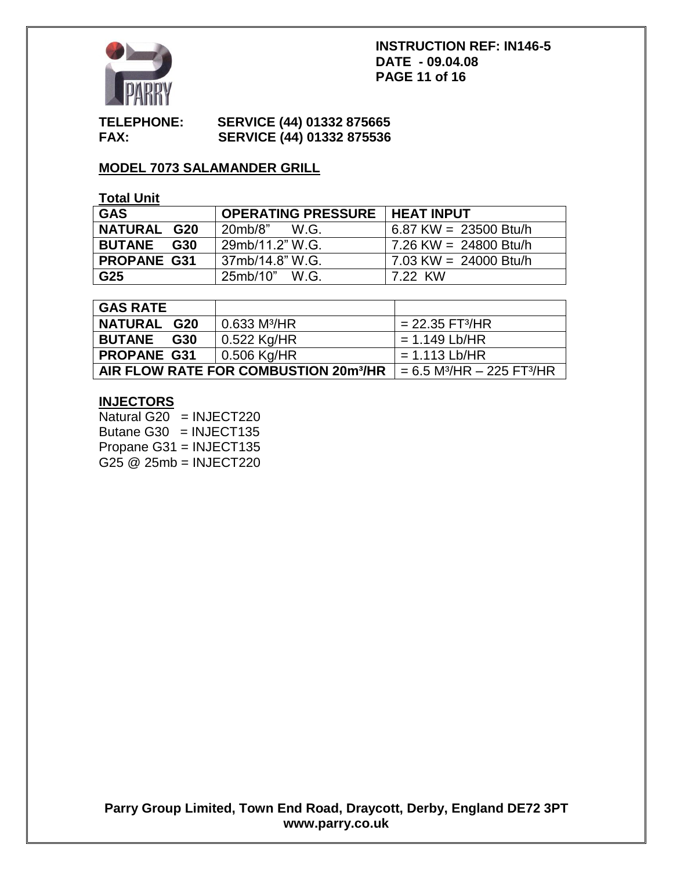

### **INSTRUCTION REF: IN146-5 DATE - 09.04.08 PAGE 11 of 16**

### **TELEPHONE: SERVICE (44) 01332 875665 FAX: SERVICE (44) 01332 875536**

# **MODEL 7073 SALAMANDER GRILL**

# **Total Unit**

| <b>GAS</b>           | <b>OPERATING PRESSURE   HEAT INPUT</b> |                         |
|----------------------|----------------------------------------|-------------------------|
| <b>NATURAL G20</b>   | 20mb/8"<br>W.G.                        | 6.87 KW = $23500$ Btu/h |
| <b>BUTANE</b><br>G30 | 29mb/11.2" W.G.                        | 7.26 KW = 24800 Btu/h   |
| <b>PROPANE G31</b>   | 37mb/14.8" W.G.                        | 7.03 KW = 24000 Btu/h   |
| G25                  | 25mb/10" W.G.                          | 7.22 KW                 |

| <b>GAS RATE</b>                                   |                            |                                                        |
|---------------------------------------------------|----------------------------|--------------------------------------------------------|
| <b>NATURAL G20</b>                                | $0.633$ M <sup>3</sup> /HR | $= 22.35$ FT <sup>3</sup> /HR                          |
| <b>BUTANE</b><br>G30                              | $0.522$ Kg/HR              | $= 1.149$ Lb/HR                                        |
| <b>PROPANE G31</b>                                | $\vert$ 0.506 Kg/HR        | $= 1.113$ Lb/HR                                        |
| AIR FLOW RATE FOR COMBUSTION 20m <sup>3</sup> /HR |                            | $= 6.5$ M <sup>3</sup> /HR $- 225$ FT <sup>3</sup> /HR |

# **INJECTORS**

Natural G20 = INJECT220 Butane G30  $=$  INJECT135 Propane G31 = INJECT135 G25 @ 25mb = INJECT220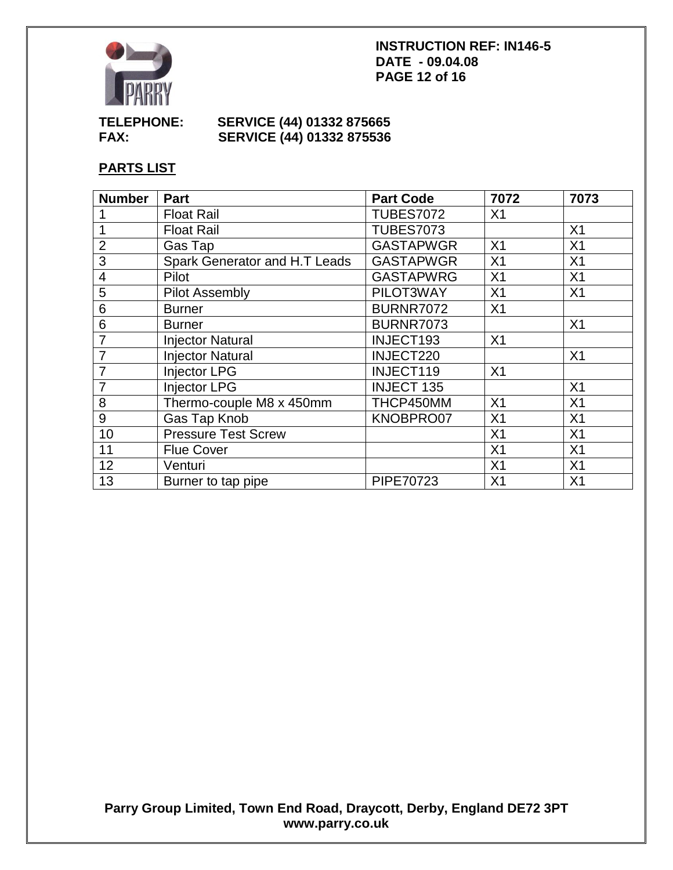

### **INSTRUCTION REF: IN146-5 DATE - 09.04.08 PAGE 12 of 16**

# **TELEPHONE: SERVICE (44) 01332 875665 FAX: SERVICE (44) 01332 875536**

# **PARTS LIST**

| <b>Number</b>  | Part                          | <b>Part Code</b>  | 7072           | 7073           |
|----------------|-------------------------------|-------------------|----------------|----------------|
|                | <b>Float Rail</b>             | <b>TUBES7072</b>  | X <sub>1</sub> |                |
| 1              | <b>Float Rail</b>             | <b>TUBES7073</b>  |                | X1             |
| $\overline{2}$ | Gas Tap                       | <b>GASTAPWGR</b>  | X <sub>1</sub> | X1             |
| 3              | Spark Generator and H.T Leads | <b>GASTAPWGR</b>  | X <sub>1</sub> | X <sub>1</sub> |
| 4              | Pilot                         | <b>GASTAPWRG</b>  | X <sub>1</sub> | X <sub>1</sub> |
| 5              | <b>Pilot Assembly</b>         | PILOT3WAY         | X <sub>1</sub> | X <sub>1</sub> |
| 6              | <b>Burner</b>                 | <b>BURNR7072</b>  | X <sub>1</sub> |                |
| 6              | <b>Burner</b>                 | <b>BURNR7073</b>  |                | X <sub>1</sub> |
| $\overline{7}$ | <b>Injector Natural</b>       | INJECT193         | X <sub>1</sub> |                |
| $\overline{7}$ | <b>Injector Natural</b>       | INJECT220         |                | X <sub>1</sub> |
| $\overline{7}$ | <b>Injector LPG</b>           | INJECT119         | X <sub>1</sub> |                |
| $\overline{7}$ | <b>Injector LPG</b>           | <b>INJECT 135</b> |                | X <sub>1</sub> |
| 8              | Thermo-couple M8 x 450mm      | THCP450MM         | X <sub>1</sub> | X <sub>1</sub> |
| 9              | Gas Tap Knob                  | KNOBPRO07         | X <sub>1</sub> | X <sub>1</sub> |
| 10             | <b>Pressure Test Screw</b>    |                   | X <sub>1</sub> | X <sub>1</sub> |
| 11             | <b>Flue Cover</b>             |                   | X <sub>1</sub> | X <sub>1</sub> |
| 12             | Venturi                       |                   | X <sub>1</sub> | X <sub>1</sub> |
| 13             | Burner to tap pipe            | PIPE70723         | X <sub>1</sub> | X <sub>1</sub> |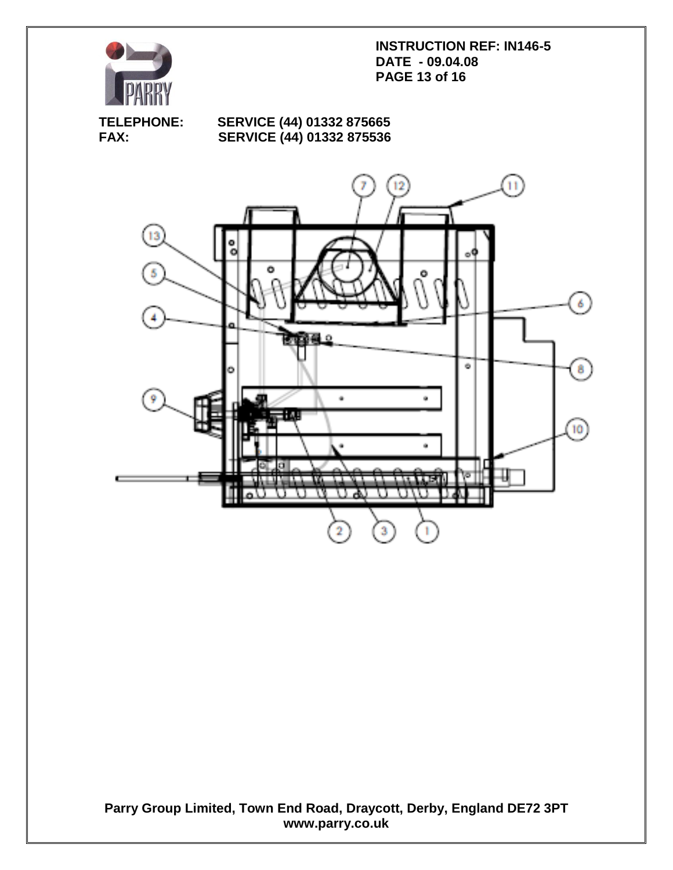

**INSTRUCTION REF: IN146-5 DATE - 09.04.08 PAGE 13 of 16**

# **TELEPHONE: SERVICE (44) 01332 875665 SERVICE (44) 01332 875536**

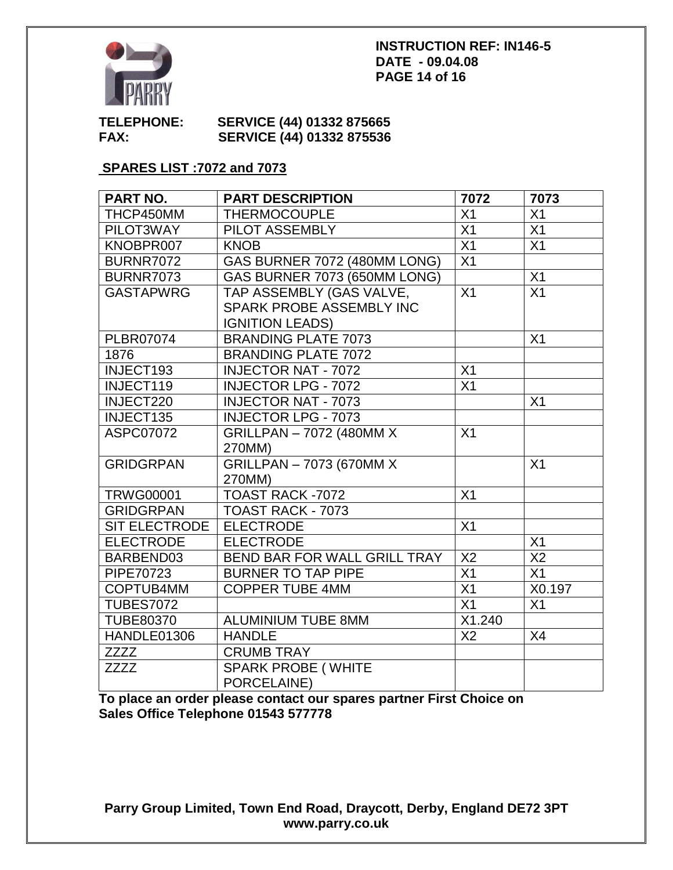

#### **INSTRUCTION REF: IN146-5 DATE - 09.04.08 PAGE 14 of 16**

### **TELEPHONE: SERVICE (44) 01332 875665 FAX: SERVICE (44) 01332 875536**

# **SPARES LIST :7072 and 7073**

| PART NO.         | <b>PART DESCRIPTION</b>      | 7072            | 7073            |
|------------------|------------------------------|-----------------|-----------------|
| THCP450MM        | <b>THERMOCOUPLE</b>          | X <sub>1</sub>  | X <sub>1</sub>  |
| PILOT3WAY        | PILOT ASSEMBLY               | X <sub>1</sub>  | X <sub>1</sub>  |
| KNOBPR007        | <b>KNOB</b>                  | X <sub>1</sub>  | X1              |
| <b>BURNR7072</b> | GAS BURNER 7072 (480MM LONG) | $\overline{X1}$ |                 |
| <b>BURNR7073</b> | GAS BURNER 7073 (650MM LONG) |                 | X1              |
| <b>GASTAPWRG</b> | TAP ASSEMBLY (GAS VALVE,     | X <sub>1</sub>  | $\overline{X1}$ |
|                  | SPARK PROBE ASSEMBLY INC     |                 |                 |
|                  | <b>IGNITION LEADS)</b>       |                 |                 |
| <b>PLBR07074</b> | <b>BRANDING PLATE 7073</b>   |                 | X <sub>1</sub>  |
| 1876             | <b>BRANDING PLATE 7072</b>   |                 |                 |
| INJECT193        | <b>INJECTOR NAT - 7072</b>   | X <sub>1</sub>  |                 |
| INJECT119        | <b>INJECTOR LPG - 7072</b>   | X <sub>1</sub>  |                 |
| INJECT220        | <b>INJECTOR NAT - 7073</b>   |                 | X1              |
| INJECT135        | <b>INJECTOR LPG - 7073</b>   |                 |                 |
| <b>ASPC07072</b> | GRILLPAN - 7072 (480MM X     | X <sub>1</sub>  |                 |
|                  | 270MM)                       |                 |                 |
| <b>GRIDGRPAN</b> | GRILLPAN - 7073 (670MM X     |                 | X <sub>1</sub>  |
|                  | 270MM)                       |                 |                 |
| <b>TRWG00001</b> | TOAST RACK -7072             | X <sub>1</sub>  |                 |
| <b>GRIDGRPAN</b> | TOAST RACK - 7073            |                 |                 |
| SIT ELECTRODE    | <b>ELECTRODE</b>             | X1              |                 |
| <b>ELECTRODE</b> | <b>ELECTRODE</b>             |                 | X1              |
| BARBEND03        | BEND BAR FOR WALL GRILL TRAY | X <sub>2</sub>  | X <sub>2</sub>  |
| PIPE70723        | <b>BURNER TO TAP PIPE</b>    | X1              | X1              |
| COPTUB4MM        | <b>COPPER TUBE 4MM</b>       | $\overline{X1}$ | X0.197          |
| <b>TUBES7072</b> |                              | X <sub>1</sub>  | X <sub>1</sub>  |
| <b>TUBE80370</b> | <b>ALUMINIUM TUBE 8MM</b>    | X1.240          |                 |
| HANDLE01306      | <b>HANDLE</b>                | X <sub>2</sub>  | X4              |
| <b>ZZZZ</b>      | <b>CRUMB TRAY</b>            |                 |                 |
| <b>ZZZZ</b>      | <b>SPARK PROBE (WHITE</b>    |                 |                 |
|                  | PORCELAINE)                  |                 |                 |

**To place an order please contact our spares partner First Choice on Sales Office Telephone 01543 577778**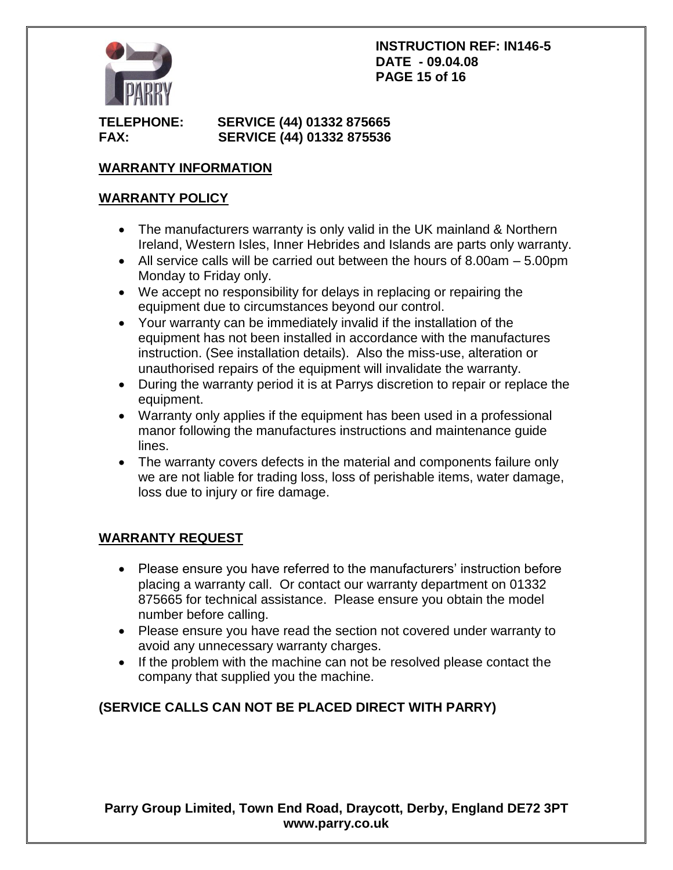

# **TELEPHONE: SERVICE (44) 01332 875665 FAX: SERVICE (44) 01332 875536**

# **WARRANTY INFORMATION**

# **WARRANTY POLICY**

- The manufacturers warranty is only valid in the UK mainland & Northern Ireland, Western Isles, Inner Hebrides and Islands are parts only warranty.
- $\bullet$  All service calls will be carried out between the hours of 8.00am  $-5.00$ pm Monday to Friday only.
- We accept no responsibility for delays in replacing or repairing the equipment due to circumstances beyond our control.
- Your warranty can be immediately invalid if the installation of the equipment has not been installed in accordance with the manufactures instruction. (See installation details). Also the miss-use, alteration or unauthorised repairs of the equipment will invalidate the warranty.
- During the warranty period it is at Parrys discretion to repair or replace the equipment.
- Warranty only applies if the equipment has been used in a professional manor following the manufactures instructions and maintenance guide lines.
- The warranty covers defects in the material and components failure only we are not liable for trading loss, loss of perishable items, water damage, loss due to injury or fire damage.

# **WARRANTY REQUEST**

- Please ensure you have referred to the manufacturers' instruction before placing a warranty call. Or contact our warranty department on 01332 875665 for technical assistance. Please ensure you obtain the model number before calling.
- Please ensure you have read the section not covered under warranty to avoid any unnecessary warranty charges.
- If the problem with the machine can not be resolved please contact the company that supplied you the machine.

# **(SERVICE CALLS CAN NOT BE PLACED DIRECT WITH PARRY)**